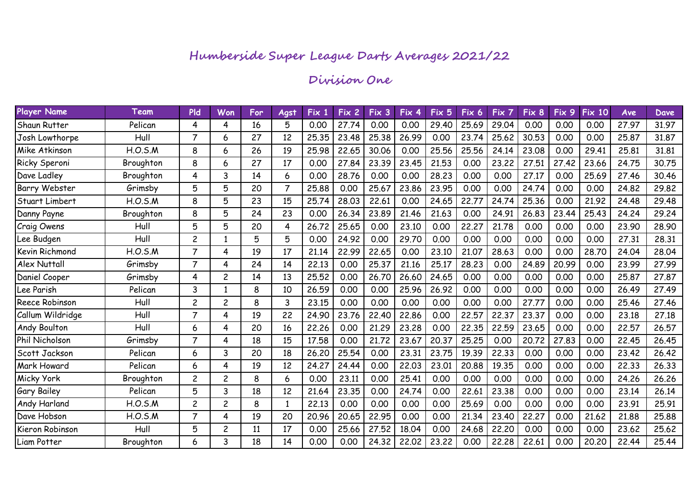# **Division One**

| Player Name           | Team      | <b>Pld</b>     | Won            | For | Agst           | Fix 1 | Fix 2' | Fix 3 | Fix 4 | Fix 5 | Fix 6 | Fix 7 | Fix 8 | Fix 9 | <b>Fix 10</b> | Ave   | Dave, |
|-----------------------|-----------|----------------|----------------|-----|----------------|-------|--------|-------|-------|-------|-------|-------|-------|-------|---------------|-------|-------|
| Shaun Rutter          | Pelican   | 4              | 4              | 16  | 5              | 0.00  | 27.74  | 0.00  | 0.00  | 29.40 | 25.69 | 29.04 | 0.00  | 0.00  | 0.00          | 27.97 | 31.97 |
| Josh Lowthorpe        | Hull      | $\overline{7}$ | 6              | 27  | 12             | 25.35 | 23.48  | 25.38 | 26.99 | 0.00  | 23.74 | 25.62 | 30.53 | 0.00  | 0.00          | 25,87 | 31.87 |
| Mike Atkinson         | H.O.S.M   | 8              | 6              | 26  | 19             | 25.98 | 22.65  | 30.06 | 0.00  | 25.56 | 25.56 | 24.14 | 23.08 | 0.00  | 29.41         | 25.81 | 31.81 |
| Ricky Speroni         | Broughton | 8              | 6              | 27  | 17             | 0.00  | 27.84  | 23.39 | 23.45 | 21.53 | 0.00  | 23.22 | 27.51 | 27.42 | 23.66         | 24.75 | 30.75 |
| Dave Ladley           | Broughton | 4              | 3              | 14  | 6              | 0.00  | 28.76  | 0.00  | 0.00  | 28,23 | 0.00  | 0.00  | 27.17 | 0.00  | 25.69         | 27.46 | 30.46 |
| <b>Barry Webster</b>  | Grimsby   | 5              | 5              | 20  | $\overline{7}$ | 25.88 | 0.00   | 25.67 | 23,86 | 23.95 | 0.00  | 0.00  | 24.74 | 0.00  | 0.00          | 24.82 | 29.82 |
| Stuart Limbert        | H.O.S.M   | 8              | 5              | 23  | 15             | 25.74 | 28.03  | 22.61 | 0.00  | 24.65 | 22.77 | 24.74 | 25.36 | 0.00  | 21.92         | 24.48 | 29.48 |
| Danny Payne           | Broughton | 8              | 5              | 24  | 23             | 0.00  | 26.34  | 23.89 | 21.46 | 21.63 | 0.00  | 24.91 | 26.83 | 23.44 | 25.43         | 24.24 | 29.24 |
| Craig Owens           | Hull      | 5              | 5              | 20  | 4              | 26,72 | 25.65  | 0.00  | 23.10 | 0.00  | 22,27 | 21,78 | 0.00  | 0.00  | 0.00          | 23.90 | 28.90 |
| Lee Budgen            | Hull      | $\overline{c}$ | -1             | 5   | 5              | 0.00  | 24.92  | 0.00  | 29.70 | 0.00  | 0.00  | 0.00  | 0.00  | 0.00  | 0.00          | 27.31 | 28.31 |
| Kevin Richmond        | H.O.S.M   | $\overline{7}$ | 4              | 19  | 17             | 21.14 | 22.99  | 22.65 | 0.00  | 23.10 | 21.07 | 28.63 | 0.00  | 0.00  | 28,70         | 24.04 | 28.04 |
| <b>Alex Nuttall</b>   | Grimsby   | $\overline{7}$ | 4              | 24  | 14             | 22,13 | 0.00   | 25.37 | 21.16 | 25.17 | 28.23 | 0.00  | 24.89 | 20.99 | 0.00          | 23.99 | 27.99 |
| Daniel Cooper         | Grimsby   | 4              | $\overline{c}$ | 14  | 13             | 25.52 | 0.00   | 26.70 | 26.60 | 24.65 | 0.00  | 0.00  | 0.00  | 0.00  | 0.00          | 25,87 | 27.87 |
| Lee Parish            | Pelican   | 3              |                | 8   | 10             | 26.59 | 0.00   | 0.00  | 25.96 | 26.92 | 0.00  | 0.00  | 0.00  | 0.00  | 0.00          | 26.49 | 27.49 |
| <b>Reece Robinson</b> | Hull      | $\overline{c}$ | $\overline{c}$ | 8   | 3              | 23.15 | 0.00   | 0.00  | 0.00  | 0.00  | 0.00  | 0.00  | 27.77 | 0.00  | 0.00          | 25,46 | 27.46 |
| Callum Wildridge      | Hull      | $\overline{7}$ | 4              | 19  | 22             | 24.90 | 23.76  | 22.40 | 22.86 | 0.00  | 22,57 | 22.37 | 23,37 | 0.00  | 0.00          | 23.18 | 27.18 |
| <b>Andy Boulton</b>   | Hull      | 6              | 4              | 20  | 16             | 22.26 | 0.00   | 21.29 | 23.28 | 0.00  | 22.35 | 22.59 | 23.65 | 0.00  | 0.00          | 22.57 | 26.57 |
| Phil Nicholson        | Grimsby   | $\overline{7}$ | 4              | 18  | 15             | 17.58 | 0.00   | 21.72 | 23.67 | 20.37 | 25,25 | 0.00  | 20,72 | 27,83 | 0.00          | 22,45 | 26.45 |
| Scott Jackson         | Pelican   | 6              | 3              | 20  | 18             | 26.20 | 25.54  | 0.00  | 23.31 | 23.75 | 19.39 | 22.33 | 0.00  | 0.00  | 0.00          | 23.42 | 26.42 |
| Mark Howard           | Pelican   | 6              | 4              | 19  | 12             | 24.27 | 24.44  | 0.00  | 22.03 | 23.01 | 20.88 | 19.35 | 0.00  | 0.00  | 0.00          | 22.33 | 26.33 |
| Micky York            | Broughton | $\overline{c}$ | $\overline{c}$ | 8   | 6              | 0.00  | 23.11  | 0.00  | 25.41 | 0.00  | 0.00  | 0.00  | 0.00  | 0.00  | 0.00          | 24.26 | 26.26 |
| <b>Gary Bailey</b>    | Pelican   | 5              | 3              | 18  | 12             | 21.64 | 23.35  | 0.00  | 24.74 | 0.00  | 22.61 | 23.38 | 0.00  | 0.00  | 0.00          | 23.14 | 26.14 |
| Andy Harland          | H.O.S.M   | $\overline{c}$ | $\overline{c}$ | 8   | 1              | 22.13 | 0.00   | 0.00  | 0.00  | 0.00  | 25.69 | 0.00  | 0.00  | 0.00  | 0.00          | 23.91 | 25.91 |
| Dave Hobson           | H.O.S.M   | $\overline{7}$ | 4              | 19  | 20             | 20.96 | 20.65  | 22.95 | 0.00  | 0.00  | 21.34 | 23.40 | 22.27 | 0.00  | 21.62         | 21.88 | 25,88 |
| Kieron Robinson       | Hull      | 5              | $\overline{c}$ | 11  | 17             | 0.00  | 25.66  | 27.52 | 18.04 | 0.00  | 24.68 | 22,20 | 0.00  | 0.00  | 0.00          | 23.62 | 25.62 |
| Liam Potter           | Broughton | 6              | 3              | 18  | 14             | 0.00  | 0.00   | 24.32 | 22.02 | 23.22 | 0.00  | 22.28 | 22.61 | 0.00  | 20,20         | 22.44 | 25.44 |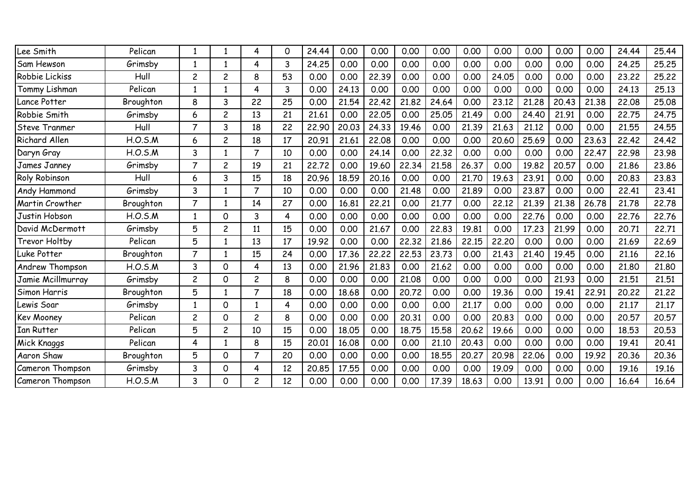| Lee Smith              | Pelican   | 1              | 1              | 4              | 0  | 24.44 | 0.00  | 0.00  | 0.00  | 0.00  | 0.00  | 0.00  | 0.00  | 0.00  | 0.00  | 24,44 | 25.44 |
|------------------------|-----------|----------------|----------------|----------------|----|-------|-------|-------|-------|-------|-------|-------|-------|-------|-------|-------|-------|
| Sam Hewson             | Grimsby   | 1              |                | 4              | 3  | 24,25 | 0.00  | 0.00  | 0.00  | 0.00  | 0.00  | 0.00  | 0.00  | 0.00  | 0.00  | 24,25 | 25.25 |
| Robbie Lickiss         | Hull      | $\overline{c}$ | 2              | 8              | 53 | 0.00  | 0.00  | 22.39 | 0.00  | 0.00  | 0.00  | 24.05 | 0.00  | 0.00  | 0.00  | 23,22 | 25,22 |
| Tommy Lishman          | Pelican   | 1              | 1              | 4              | 3  | 0.00  | 24.13 | 0.00  | 0.00  | 0.00  | 0.00  | 0.00  | 0.00  | 0.00  | 0.00  | 24.13 | 25.13 |
| Lance Potter           | Broughton | 8              | 3              | 22             | 25 | 0.00  | 21.54 | 22.42 | 21.82 | 24.64 | 0.00  | 23.12 | 21.28 | 20.43 | 21.38 | 22.08 | 25.08 |
| Robbie Smith           | Grimsby   | 6              | $\overline{c}$ | 13             | 21 | 21.61 | 0.00  | 22.05 | 0.00  | 25.05 | 21.49 | 0.00  | 24.40 | 21.91 | 0.00  | 22.75 | 24.75 |
| <b>Steve Tranmer</b>   | Hull      | $\overline{7}$ | 3              | 18             | 22 | 22,90 | 20.03 | 24.33 | 19.46 | 0.00  | 21.39 | 21.63 | 21.12 | 0.00  | 0.00  | 21.55 | 24.55 |
| <b>Richard Allen</b>   | H.O.S.M   | 6              | 2              | 18             | 17 | 20.91 | 21.61 | 22.08 | 0.00  | 0.00  | 0.00  | 20.60 | 25.69 | 0.00  | 23.63 | 22.42 | 24.42 |
| Daryn Gray             | H.O.S.M   | 3              | 1              | $\overline{7}$ | 10 | 0.00  | 0.00  | 24.14 | 0.00  | 22.32 | 0.00  | 0.00  | 0.00  | 0.00  | 22.47 | 22.98 | 23.98 |
| James Janney           | Grimsby   | $\overline{7}$ | 2              | 19             | 21 | 22,72 | 0.00  | 19.60 | 22.34 | 21.58 | 26.37 | 0.00  | 19.82 | 20,57 | 0.00  | 21.86 | 23.86 |
| <b>Roly Robinson</b>   | Hull      | 6              | 3              | 15             | 18 | 20.96 | 18.59 | 20.16 | 0.00  | 0.00  | 21.70 | 19.63 | 23.91 | 0.00  | 0.00  | 20,83 | 23.83 |
| <b>Andy Hammond</b>    | Grimsby   | 3              |                | $\overline{7}$ | 10 | 0.00  | 0.00  | 0.00  | 21.48 | 0.00  | 21.89 | 0.00  | 23.87 | 0.00  | 0.00  | 22.41 | 23.41 |
| Martin Crowther        | Broughton | $\overline{7}$ | 1              | 14             | 27 | 0.00  | 16.81 | 22.21 | 0.00  | 21,77 | 0.00  | 22,12 | 21.39 | 21.38 | 26.78 | 21.78 | 22,78 |
| Justin Hobson          | H.O.S.M   | 1              | 0              | 3              | 4  | 0.00  | 0.00  | 0.00  | 0.00  | 0.00  | 0.00  | 0.00  | 22.76 | 0.00  | 0.00  | 22.76 | 22.76 |
| David McDermott        | Grimsby   | 5              | $\overline{c}$ | 11             | 15 | 0.00  | 0.00  | 21.67 | 0.00  | 22.83 | 19.81 | 0.00  | 17.23 | 21.99 | 0.00  | 20.71 | 22.71 |
| <b>Trevor Holtby</b>   | Pelican   | 5              | 1              | 13             | 17 | 19.92 | 0.00  | 0.00  | 22,32 | 21.86 | 22.15 | 22,20 | 0.00  | 0.00  | 0.00  | 21.69 | 22.69 |
| Luke Potter            | Broughton | $\overline{7}$ | 1              | 15             | 24 | 0.00  | 17.36 | 22.22 | 22.53 | 23.73 | 0.00  | 21.43 | 21.40 | 19.45 | 0.00  | 21.16 | 22.16 |
| Andrew Thompson        | H.O.S.M   | 3              | 0              | 4              | 13 | 0.00  | 21.96 | 21.83 | 0.00  | 21.62 | 0.00  | 0.00  | 0.00  | 0.00  | 0.00  | 21.80 | 21.80 |
| Jamie Mcillmurray      | Grimsby   | $\overline{c}$ | 0              | $\overline{c}$ | 8  | 0.00  | 0.00  | 0.00  | 21.08 | 0.00  | 0.00  | 0.00  | 0.00  | 21.93 | 0.00  | 21.51 | 21.51 |
| Simon Harris           | Broughton | 5              | 1              | $\overline{7}$ | 18 | 0.00  | 18.68 | 0.00  | 20.72 | 0.00  | 0.00  | 19.36 | 0.00  | 19.41 | 22.91 | 20.22 | 21,22 |
| ewis Soar <sub>-</sub> | Grimsby   | $\mathbf{1}$   | 0              | $\mathbf{1}$   | 4  | 0.00  | 0.00  | 0.00  | 0.00  | 0.00  | 21.17 | 0.00  | 0.00  | 0.00  | 0.00  | 21.17 | 21.17 |
| <b>Kev Mooney</b>      | Pelican   | $\overline{c}$ | O              | $\mathsf{2}$   | 8  | 0.00  | 0.00  | 0.00  | 20.31 | 0.00  | 0.00  | 20.83 | 0.00  | 0.00  | 0.00  | 20,57 | 20.57 |
| Ian Rutter             | Pelican   | 5              | 2              | 10             | 15 | 0.00  | 18.05 | 0.00  | 18.75 | 15.58 | 20.62 | 19.66 | 0.00  | 0.00  | 0.00  | 18.53 | 20.53 |
| Mick Knaggs            | Pelican   | 4              | 1              | 8              | 15 | 20.01 | 16.08 | 0.00  | 0.00  | 21.10 | 20.43 | 0.00  | 0.00  | 0.00  | 0.00  | 19.41 | 20.41 |
| Aaron Shaw             | Broughton | 5              | $\Omega$       | $\overline{7}$ | 20 | 0.00  | 0.00  | 0.00  | 0.00  | 18.55 | 20,27 | 20.98 | 22.06 | 0.00  | 19.92 | 20,36 | 20,36 |
| Cameron Thompson       | Grimsby   | 3              | 0              | 4              | 12 | 20.85 | 17.55 | 0.00  | 0.00  | 0.00  | 0.00  | 19.09 | 0.00  | 0.00  | 0.00  | 19.16 | 19.16 |
| Cameron Thompson       | H.O.S.M   | 3              | 0              | $\overline{c}$ | 12 | 0.00  | 0.00  | 0.00  | 0.00  | 17.39 | 18.63 | 0.00  | 13.91 | 0.00  | 0.00  | 16.64 | 16.64 |
|                        |           |                |                |                |    |       |       |       |       |       |       |       |       |       |       |       |       |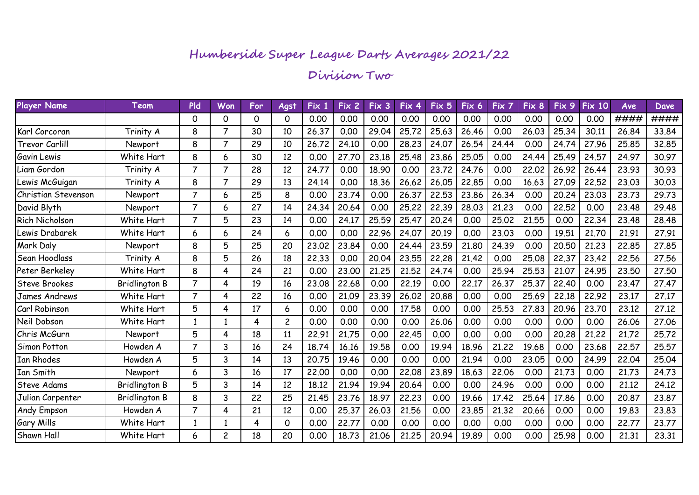#### **Division Two**

| Player Name           | Team                 | <b>PId</b>     | Won            | For | Agst           | Fix 1 | Fix 2 | Fix 3 | Fix 4 | Fix 5 | Fix 6 | Fix 7 | Fix 8 | Fix 9 | <b>Fix 10</b> | Ave   | <b>Dave</b> |
|-----------------------|----------------------|----------------|----------------|-----|----------------|-------|-------|-------|-------|-------|-------|-------|-------|-------|---------------|-------|-------------|
|                       |                      | 0              | 0              | 0   | 0              | 0.00  | 0.00  | 0.00  | 0.00  | 0.00  | 0.00  | 0.00  | 0.00  | 0.00  | 0.00          | ####  | ####        |
| Karl Corcoran         | Trinity A            | 8              | 7              | 30  | 10             | 26.37 | 0.00  | 29.04 | 25.72 | 25.63 | 26.46 | 0.00  | 26.03 | 25.34 | 30.11         | 26,84 | 33.84       |
| <b>Trevor Carlill</b> | Newport              | 8              | $\overline{7}$ | 29  | 10             | 26.72 | 24.10 | 0.00  | 28,23 | 24.07 | 26.54 | 24.44 | 0.00  | 24.74 | 27.96         | 25,85 | 32.85       |
| Gavin Lewis           | White Hart           | 8              | 6              | 30  | 12             | 0.00  | 27.70 | 23.18 | 25.48 | 23.86 | 25.05 | 0.00  | 24.44 | 25.49 | 24.57         | 24.97 | 30.97       |
| Liam Gordon           | Trinity A            | $\overline{7}$ | $\overline{7}$ | 28  | 12             | 24.77 | 0.00  | 18.90 | 0.00  | 23.72 | 24.76 | 0.00  | 22.02 | 26.92 | 26.44         | 23.93 | 30.93       |
| Lewis McGuigan        | Trinity A            | 8              | 7              | 29  | 13             | 24.14 | 0.00  | 18.36 | 26.62 | 26.05 | 22.85 | 0.00  | 16.63 | 27.09 | 22.52         | 23.03 | 30.03       |
| Christian Stevenson   | <b>Newport</b>       | $\overline{7}$ | 6              | 25  | 8              | 0.00  | 23.74 | 0.00  | 26,37 | 22.53 | 23.86 | 26.34 | 0.00  | 20.24 | 23.03         | 23.73 | 29.73       |
| David Blyth           | Newport              | $\overline{7}$ | 6              | 27  | 14             | 24.34 | 20.64 | 0.00  | 25.22 | 22.39 | 28.03 | 21.23 | 0.00  | 22.52 | 0.00          | 23.48 | 29.48       |
| Rich Nicholson        | White Hart           | $\overline{7}$ | 5              | 23  | 14             | 0.00  | 24.17 | 25.59 | 25.47 | 20.24 | 0.00  | 25.02 | 21.55 | 0.00  | 22.34         | 23.48 | 28.48       |
| Lewis Drabarek        | White Hart           | 6              | 6              | 24  | 6              | 0.00  | 0.00  | 22.96 | 24.07 | 20.19 | 0.00  | 23.03 | 0.00  | 19.51 | 21.70         | 21.91 | 27.91       |
| Mark Daly             | Newport              | 8              | 5              | 25  | 20             | 23.02 | 23.84 | 0.00  | 24.44 | 23.59 | 21.80 | 24.39 | 0.00  | 20.50 | 21.23         | 22.85 | 27.85       |
| Sean Hoodlass         | Trinity A            | 8              | 5              | 26  | 18             | 22.33 | 0.00  | 20.04 | 23.55 | 22.28 | 21.42 | 0.00  | 25.08 | 22.37 | 23.42         | 22.56 | 27.56       |
| Peter Berkeley        | White Hart           | 8              | 4              | 24  | 21             | 0.00  | 23.00 | 21.25 | 21.52 | 24.74 | 0.00  | 25.94 | 25.53 | 21.07 | 24.95         | 23.50 | 27.50       |
| <b>Steve Brookes</b>  | <b>Bridlington B</b> | $\overline{7}$ | 4              | 19  | 16             | 23.08 | 22.68 | 0.00  | 22.19 | 0.00  | 22.17 | 26.37 | 25.37 | 22.40 | 0.00          | 23.47 | 27.47       |
| James Andrews         | White Hart           | $\overline{7}$ | 4              | 22  | 16             | 0.00  | 21.09 | 23.39 | 26.02 | 20.88 | 0.00  | 0.00  | 25.69 | 22.18 | 22.92         | 23.17 | 27.17       |
| Carl Robinson         | White Hart           | 5              | 4              | 17  | 6              | 0.00  | 0.00  | 0.00  | 17.58 | 0.00  | 0.00  | 25.53 | 27,83 | 20.96 | 23.70         | 23,12 | 27,12       |
| Neil Dobson           | White Hart           | 1              |                | 4   | $\overline{c}$ | 0.00  | 0.00  | 0.00  | 0.00  | 26.06 | 0.00  | 0.00  | 0.00  | 0.00  | 0.00          | 26.06 | 27.06       |
| Chris McGurn          | Newport              | 5              | 4              | 18  | 11             | 22.91 | 21.75 | 0.00  | 22.45 | 0.00  | 0.00  | 0.00  | 0.00  | 20,28 | 21.22         | 21,72 | 25,72       |
| <b>Simon Potton</b>   | Howden A             | $\overline{7}$ | 3              | 16  | 24             | 18.74 | 16.16 | 19.58 | 0.00  | 19.94 | 18.96 | 21,22 | 19.68 | 0.00  | 23.68         | 22.57 | 25.57       |
| <b>Ian Rhodes</b>     | Howden A             | 5              | 3              | 14  | 13             | 20.75 | 19.46 | 0.00  | 0.00  | 0.00  | 21.94 | 0.00  | 23.05 | 0.00  | 24.99         | 22,04 | 25.04       |
| Ian Smith             | Newport              | 6              | 3              | 16  | 17             | 22,00 | 0.00  | 0.00  | 22.08 | 23.89 | 18.63 | 22.06 | 0.00  | 21.73 | 0.00          | 21.73 | 24.73       |
| Steve Adams           | <b>Bridlington B</b> | 5              | 3              | 14  | 12             | 18.12 | 21.94 | 19.94 | 20.64 | 0.00  | 0.00  | 24.96 | 0.00  | 0.00  | 0.00          | 21.12 | 24.12       |
| Julian Carpenter      | <b>Bridlington B</b> | 8              | 3              | 22  | 25             | 21.45 | 23.76 | 18.97 | 22,23 | 0.00  | 19.66 | 17.42 | 25.64 | 17.86 | 0.00          | 20,87 | 23.87       |
| <b>Andy Empson</b>    | Howden A             | $\overline{7}$ | 4              | 21  | 12             | 0.00  | 25.37 | 26.03 | 21.56 | 0.00  | 23.85 | 21.32 | 20.66 | 0.00  | 0.00          | 19.83 | 23.83       |
| <b>Gary Mills</b>     | White Hart           | 1              |                | 4   | 0              | 0.00  | 22.77 | 0.00  | 0.00  | 0.00  | 0.00  | 0.00  | 0.00  | 0.00  | 0.00          | 22,77 | 23.77       |
| <b>Shawn Hall</b>     | White Hart           | 6              | $\overline{c}$ | 18  | 20             | 0.00  | 18.73 | 21.06 | 21.25 | 20.94 | 19.89 | 0.00  | 0.00  | 25.98 | 0.00          | 21.31 | 23.31       |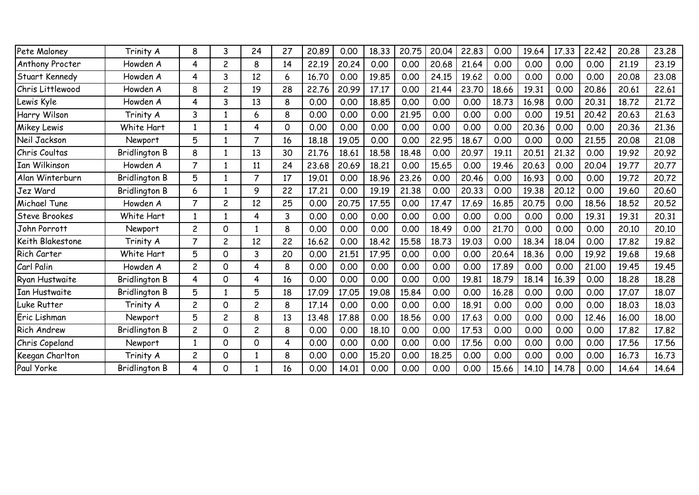| Pete Maloney       | Trinity A            | 8              | 3              | 24             | 27          | 20.89 | 0.00  | 18.33 | 20.75 | 20.04 | 22.83 | 0.00  | 19.64 | 17.33 | 22.42 | 20,28 | 23.28 |
|--------------------|----------------------|----------------|----------------|----------------|-------------|-------|-------|-------|-------|-------|-------|-------|-------|-------|-------|-------|-------|
| Anthony Procter    | Howden A             | 4              | 2              | 8              | 14          | 22.19 | 20.24 | 0.00  | 0.00  | 20.68 | 21.64 | 0.00  | 0.00  | 0.00  | 0.00  | 21.19 | 23.19 |
| Stuart Kennedy     | Howden A             | 4              | 3              | 12             | 6           | 16.70 | 0.00  | 19.85 | 0.00  | 24.15 | 19.62 | 0.00  | 0.00  | 0.00  | 0.00  | 20,08 | 23.08 |
| Chris Littlewood   | Howden A             | 8              | 2              | 19             | 28          | 22.76 | 20.99 | 17.17 | 0.00  | 21.44 | 23.70 | 18.66 | 19.31 | 0.00  | 20.86 | 20.61 | 22.61 |
| Lewis Kyle         | Howden A             | 4              | 3              | 13             | 8           | 0.00  | 0.00  | 18.85 | 0.00  | 0.00  | 0.00  | 18.73 | 16.98 | 0.00  | 20.31 | 18.72 | 21,72 |
| Harry Wilson       | Trinity A            | 3              |                | 6              | 8           | 0.00  | 0.00  | 0.00  | 21.95 | 0.00  | 0.00  | 0.00  | 0.00  | 19.51 | 20.42 | 20.63 | 21.63 |
| <b>Mikey Lewis</b> | White Hart           | $\mathbf{1}$   |                | 4              | $\mathbf 0$ | 0.00  | 0.00  | 0.00  | 0.00  | 0.00  | 0.00  | 0.00  | 20.36 | 0.00  | 0.00  | 20,36 | 21.36 |
| Neil Jackson       | Newport              | 5              | -1             | 7              | 16          | 18.18 | 19.05 | 0.00  | 0.00  | 22.95 | 18.67 | 0.00  | 0.00  | 0.00  | 21.55 | 20,08 | 21.08 |
| Chris Coultas      | <b>Bridlington B</b> | 8              | 1              | 13             | 30          | 21.76 | 18.61 | 18.58 | 18.48 | 0.00  | 20.97 | 19.11 | 20.51 | 21.32 | 0.00  | 19.92 | 20.92 |
| Ian Wilkinson      | Howden A             | $\overline{7}$ |                | 11             | 24          | 23.68 | 20.69 | 18,21 | 0.00  | 15.65 | 0.00  | 19.46 | 20.63 | 0.00  | 20.04 | 19.77 | 20.77 |
| Alan Winterburn    | <b>Bridlington B</b> | 5              |                | 7              | 17          | 19.01 | 0.00  | 18.96 | 23,26 | 0.00  | 20.46 | 0.00  | 16.93 | 0.00  | 0.00  | 19.72 | 20.72 |
| Jez Ward           | <b>Bridlington B</b> | 6              | -1             | 9              | 22          | 17.21 | 0.00  | 19.19 | 21.38 | 0.00  | 20.33 | 0.00  | 19.38 | 20.12 | 0.00  | 19.60 | 20.60 |
| Michael Tune       | Howden A             | $\overline{7}$ | 2              | 12             | 25          | 0.00  | 20.75 | 17.55 | 0.00  | 17.47 | 17.69 | 16.85 | 20.75 | 0.00  | 18.56 | 18.52 | 20.52 |
| Steve Brookes      | White Hart           |                |                | 4              | 3           | 0.00  | 0.00  | 0.00  | 0.00  | 0.00  | 0.00  | 0.00  | 0.00  | 0.00  | 19.31 | 19.31 | 20.31 |
| John Porrott       | Newport              | $\overline{c}$ | 0              |                | 8           | 0.00  | 0.00  | 0.00  | 0.00  | 18.49 | 0.00  | 21,70 | 0.00  | 0.00  | 0.00  | 20,10 | 20.10 |
| Keith Blakestone   | Trinity A            | $\overline{7}$ | 2              | 12             | 22          | 16.62 | 0.00  | 18,42 | 15.58 | 18.73 | 19.03 | 0.00  | 18.34 | 18.04 | 0.00  | 17,82 | 19.82 |
| Rich Carter        | White Hart           | 5              | 0              | 3              | 20          | 0.00  | 21.51 | 17.95 | 0.00  | 0.00  | 0.00  | 20.64 | 18.36 | 0.00  | 19.92 | 19.68 | 19.68 |
| Carl Palin         | Howden A             | $\overline{c}$ | 0              | 4              | 8           | 0.00  | 0.00  | 0.00  | 0.00  | 0.00  | 0.00  | 17.89 | 0.00  | 0.00  | 21.00 | 19.45 | 19.45 |
| Ryan Hustwaite     | <b>Bridlington B</b> | 4              | 0              | 4              | 16          | 0.00  | 0.00  | 0.00  | 0.00  | 0.00  | 19.81 | 18.79 | 18.14 | 16.39 | 0.00  | 18,28 | 18.28 |
| Ian Hustwaite      | <b>Bridlington B</b> | 5              | 1              | 5              | 18          | 17.09 | 17.05 | 19.08 | 15.84 | 0.00  | 0.00  | 16.28 | 0.00  | 0.00  | 0.00  | 17.07 | 18.07 |
| Luke Rutter        | Trinity A            | $\overline{c}$ | 0              | 2              | 8           | 17.14 | 0.00  | 0.00  | 0.00  | 0.00  | 18.91 | 0.00  | 0.00  | 0.00  | 0.00  | 18,03 | 18.03 |
| Eric Lishman       | Newport              | 5              | $\overline{c}$ | 8              | 13          | 13.48 | 17.88 | 0.00  | 18.56 | 0.00  | 17.63 | 0.00  | 0.00  | 0.00  | 12.46 | 16.00 | 18.00 |
| <b>Rich Andrew</b> | Bridlington B        | $\overline{c}$ | 0              | $\overline{c}$ | 8           | 0.00  | 0.00  | 18.10 | 0.00  | 0.00  | 17.53 | 0.00  | 0.00  | 0.00  | 0.00  | 17.82 | 17.82 |
| Chris Copeland     | Newport              | $\mathbf{1}$   | 0              | 0              | 4           | 0.00  | 0.00  | 0.00  | 0.00  | 0.00  | 17.56 | 0.00  | 0.00  | 0.00  | 0.00  | 17.56 | 17.56 |
| Keegan Charlton    | Trinity A            | $\overline{c}$ | 0              | 1              | 8           | 0.00  | 0.00  | 15,20 | 0.00  | 18.25 | 0.00  | 0.00  | 0.00  | 0.00  | 0.00  | 16.73 | 16.73 |
| Paul Yorke         | <b>Bridlington B</b> | 4              | $\Omega$       |                | 16          | 0.00  | 14.01 | 0.00  | 0.00  | 0.00  | 0.00  | 15.66 | 14.10 | 14.78 | 0.00  | 14.64 | 14.64 |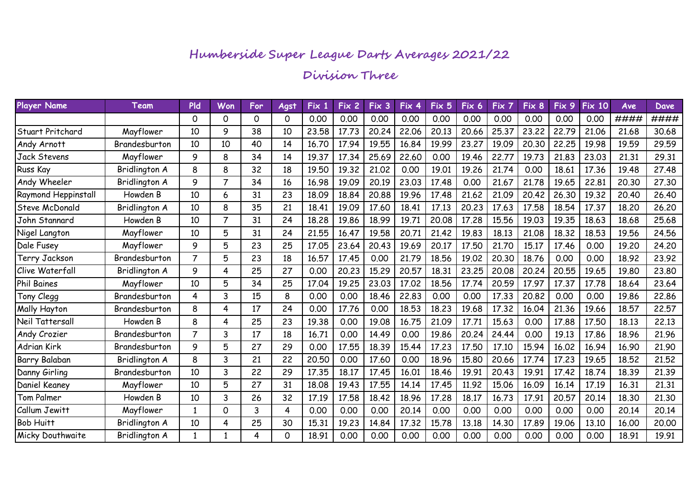#### **Division Three**

| <b>Player Name</b>     | Team          | <b>Pld</b>     | Won            | For | Agst | Fix 1 | Fix 2 | Fix 3 | Fix 4 | Fix 5 | Fix 6 | Fix 7 | Fix 8 | Fix 9 | <b>Fix 10</b> | Ave   | Dave  |
|------------------------|---------------|----------------|----------------|-----|------|-------|-------|-------|-------|-------|-------|-------|-------|-------|---------------|-------|-------|
|                        |               | 0              | 0              | 0   | 0    | 0.00  | 0.00  | 0.00  | 0.00  | 0.00  | 0.00  | 0.00  | 0.00  | 0.00  | 0.00          | ####  | ####  |
| Stuart Pritchard       | Mayflower     | 10             | 9              | 38  | 10   | 23.58 | 17.73 | 20.24 | 22.06 | 20.13 | 20.66 | 25.37 | 23,22 | 22.79 | 21.06         | 21.68 | 30.68 |
| Andy Arnott            | Brandesburton | 10             | 10             | 40  | 14   | 16.70 | 17.94 | 19.55 | 16.84 | 19.99 | 23.27 | 19.09 | 20.30 | 22.25 | 19.98         | 19.59 | 29.59 |
| <b>Jack Stevens</b>    | Mayflower     | 9              | 8              | 34  | 14   | 19.37 | 17.34 | 25.69 | 22,60 | 0.00  | 19.46 | 22.77 | 19.73 | 21.83 | 23.03         | 21.31 | 29.31 |
| <b>Russ Kay</b>        | Bridlington A | 8              | 8              | 32  | 18   | 19.50 | 19.32 | 21.02 | 0.00  | 19.01 | 19.26 | 21.74 | 0.00  | 18.61 | 17.36         | 19.48 | 27.48 |
| Andy Wheeler           | Bridlington A | 9              | $\overline{7}$ | 34  | 16   | 16.98 | 19.09 | 20.19 | 23.03 | 17.48 | 0.00  | 21.67 | 21.78 | 19.65 | 22.81         | 20.30 | 27.30 |
| Raymond Heppinstall    | Howden B      | 10             | 6              | 31  | 23   | 18.09 | 18.84 | 20.88 | 19.96 | 17.48 | 21.62 | 21.09 | 20.42 | 26.30 | 19.32         | 20,40 | 26.40 |
| Steve McDonald         | Bridlington A | 10             | 8              | 35  | 21   | 18.41 | 19.09 | 17.60 | 18.41 | 17.13 | 20.23 | 17.63 | 17.58 | 18.54 | 17.37         | 18.20 | 26.20 |
| John Stannard          | Howden B      | 10             | 7              | 31  | 24   | 18.28 | 19.86 | 18.99 | 19.71 | 20.08 | 17.28 | 15.56 | 19.03 | 19.35 | 18.63         | 18.68 | 25.68 |
| Nigel Langton          | Mayflower     | 10             | 5              | 31  | 24   | 21.55 | 16.47 | 19.58 | 20.71 | 21.42 | 19.83 | 18.13 | 21.08 | 18.32 | 18.53         | 19.56 | 24.56 |
| <b>Dale Fusey</b>      | Mayflower     | 9              | 5              | 23  | 25   | 17.05 | 23.64 | 20.43 | 19.69 | 20.17 | 17.50 | 21.70 | 15.17 | 17.46 | 0.00          | 19.20 | 24.20 |
| Terry Jackson          | Brandesburton | $\overline{7}$ | 5              | 23  | 18   | 16.57 | 17.45 | 0.00  | 21.79 | 18.56 | 19.02 | 20.30 | 18.76 | 0.00  | 0.00          | 18.92 | 23.92 |
| <b>Clive Waterfall</b> | Bridlington A | 9              | 4              | 25  | 27   | 0.00  | 20.23 | 15.29 | 20.57 | 18.31 | 23.25 | 20.08 | 20.24 | 20.55 | 19.65         | 19,80 | 23.80 |
| <b>Phil Baines</b>     | Mayflower     | 10             | 5              | 34  | 25   | 17.04 | 19.25 | 23.03 | 17.02 | 18.56 | 17.74 | 20.59 | 17.97 | 17.37 | 17.78         | 18.64 | 23.64 |
| Tony Clegg             | Brandesburton | 4              | 3              | 15  | 8    | 0.00  | 0.00  | 18.46 | 22.83 | 0.00  | 0.00  | 17.33 | 20.82 | 0.00  | 0.00          | 19.86 | 22.86 |
| Mally Hayton           | Brandesburton | 8              | 4              | 17  | 24   | 0.00  | 17.76 | 0.00  | 18.53 | 18.23 | 19.68 | 17.32 | 16.04 | 21.36 | 19.66         | 18.57 | 22.57 |
| Neil Tattersall        | Howden B      | 8              | 4              | 25  | 23   | 19.38 | 0.00  | 19.08 | 16.75 | 21.09 | 17.71 | 15.63 | 0.00  | 17.88 | 17.50         | 18.13 | 22.13 |
| Andy Crozier           | Brandesburton | $\overline{7}$ | 3              | 17  | 18   | 16.71 | 0.00  | 14.49 | 0.00  | 19.86 | 20.24 | 24.44 | 0.00  | 19.13 | 17.86         | 18.96 | 21.96 |
| Adrian Kirk            | Brandesburton | 9              | 5              | 27  | 29   | 0.00  | 17.55 | 18.39 | 15.44 | 17.23 | 17.50 | 17.10 | 15.94 | 16.02 | 16.94         | 16.90 | 21.90 |
| Barry Balaban          | Bridlington A | 8              | 3              | 21  | 22   | 20.50 | 0.00  | 17.60 | 0.00  | 18.96 | 15.80 | 20.66 | 17.74 | 17.23 | 19.65         | 18,52 | 21.52 |
| Danny Girling          | Brandesburton | 10             | 3              | 22  | 29   | 17.35 | 18.17 | 17.45 | 16.01 | 18.46 | 19.91 | 20.43 | 19.91 | 17.42 | 18.74         | 18.39 | 21.39 |
| Daniel Keaney          | Mayflower     | 10             | 5              | 27  | 31   | 18.08 | 19.43 | 17.55 | 14.14 | 17.45 | 11.92 | 15.06 | 16.09 | 16.14 | 17.19         | 16.31 | 21.31 |
| Tom Palmer             | Howden B      | 10             | 3              | 26  | 32   | 17.19 | 17.58 | 18.42 | 18.96 | 17.28 | 18.17 | 16.73 | 17.91 | 20.57 | 20.14         | 18.30 | 21.30 |
| Callum Jewitt          | Mayflower     | $\mathbf{1}$   | 0              | 3   | 4    | 0.00  | 0.00  | 0.00  | 20.14 | 0.00  | 0.00  | 0.00  | 0.00  | 0.00  | 0.00          | 20.14 | 20.14 |
| <b>Bob Huitt</b>       | Bridlington A | 10             | 4              | 25  | 30   | 15.31 | 19.23 | 14.84 | 17.32 | 15.78 | 13.18 | 14.30 | 17.89 | 19.06 | 13.10         | 16.00 | 20.00 |
| Micky Douthwaite       | Bridlington A | $\mathbf{1}$   | -1             | 4   | 0    | 18.91 | 0.00  | 0.00  | 0.00  | 0.00  | 0.00  | 0.00  | 0.00  | 0.00  | 0.00          | 18.91 | 19.91 |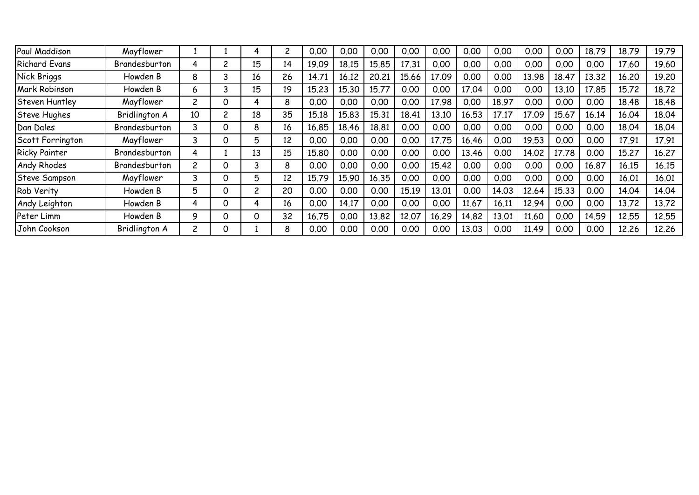| Paul Maddison        | Mayflower     |                |   | 4              | 2  | 0.00  | 0.00  | 0.00  | 0.00  | 0.00  | 0.00  | 0.00  | 0.00  | 0.00  | 18.79 | 18.79 | 19.79 |
|----------------------|---------------|----------------|---|----------------|----|-------|-------|-------|-------|-------|-------|-------|-------|-------|-------|-------|-------|
| <b>Richard Evans</b> | Brandesburton | 4              |   | 15             | 14 | 19.09 | 18.15 | 15.85 | 17.31 | 0.00  | 0.00  | 0.00  | 0.00  | 0.00  | 0.00  | 17.60 | 19.60 |
| Nick Briggs          | Howden B      | 8              | 3 | 16             | 26 | 14.71 | 16.12 | 20,21 | 15.66 | 17.09 | 0.00  | 0.00  | 13.98 | 18.47 | 13.32 | 16,20 | 19.20 |
| Mark Robinson        | Howden B      | 6              |   | 15             | 19 | 15,23 | 15.30 | 15.77 | 0.00  | 0.00  | 17.04 | 0.00  | 0.00  | 13.10 | 17.85 | 15.72 | 18.72 |
| Steven Huntley       | Mayflower     | $\overline{c}$ | Ω | 4              | 8  | 0.00  | 0.00  | 0.00  | 0.00  | 17.98 | 0.00  | 18.97 | 0.00  | 0.00  | 0.00  | 18.48 | 18.48 |
| Steve Hughes         | Bridlington A | 10             |   | 18             | 35 | 15.18 | 15.83 | 15.31 | 18.41 | 13.10 | 16.53 | 17.17 | 17.09 | 15.67 | 16.14 | 16.04 | 18.04 |
| Dan Dales            | Brandesburton | 3              | Ω | 8              | 16 | 16.85 | 18.46 | 18.81 | 0.00  | 0.00  | 0.00  | 0.00  | 0.00  | 0.00  | 0.00  | 18.04 | 18.04 |
| Scott Forrington     | Mayflower     | 3              | 0 | 5              | 12 | 0.00  | 0.00  | 0.00  | 0.00  | 17.75 | 16.46 | 0.00  | 19.53 | 0.00  | 0.00  | 17.91 | 17.91 |
| <b>Ricky Painter</b> | Brandesburton | 4              |   | 13             | 15 | 15.80 | 0.00  | 0.00  | 0.00  | 0.00  | 13.46 | 0.00  | 14.02 | 17.78 | 0.00  | 15.27 | 16.27 |
| <b>Andy Rhodes</b>   | Brandesburton | $\overline{c}$ | 0 | 3              | 8  | 0.00  | 0.00  | 0.00  | 0.00  | 15.42 | 0.00  | 0.00  | 0.00  | 0.00  | 16.87 | 16.15 | 16.15 |
| Steve Sampson        | Mayflower     | 3              | 0 | 5.             | 12 | 15.79 | 15.90 | 16.35 | 0.00  | 0.00  | 0.00  | 0.00  | 0.00  | 0.00  | 0.00  | 16.01 | 16.01 |
| Rob Verity           | Howden B      | 5              | 0 | $\overline{c}$ | 20 | 0.00  | 0.00  | 0.00  | 15.19 | 13.01 | 0.00  | 14.03 | 12.64 | 15.33 | 0.00  | 14.04 | 14.04 |
| Andy Leighton        | Howden B      | 4              | 0 | 4              | 16 | 0.00  | 14.17 | 0.00  | 0.00  | 0.00  | 11.67 | 16.11 | 12.94 | 0.00  | 0.00  | 13.72 | 13.72 |
| Peter Limm           | Howden B      | 9              |   | 0              | 32 | 16.75 | 0.00  | 13.82 | 12.07 | 16.29 | 14.82 | 13.01 | 11.60 | 0.00  | 14.59 | 12.55 | 12.55 |
| John Cookson         | Bridlington A | $\overline{c}$ |   |                | 8  | 0.00  | 0.00  | 0.00  | 0.00  | 0.00  | 13.03 | 0.00  | 11.49 | 0.00  | 0.00  | 12,26 | 12,26 |